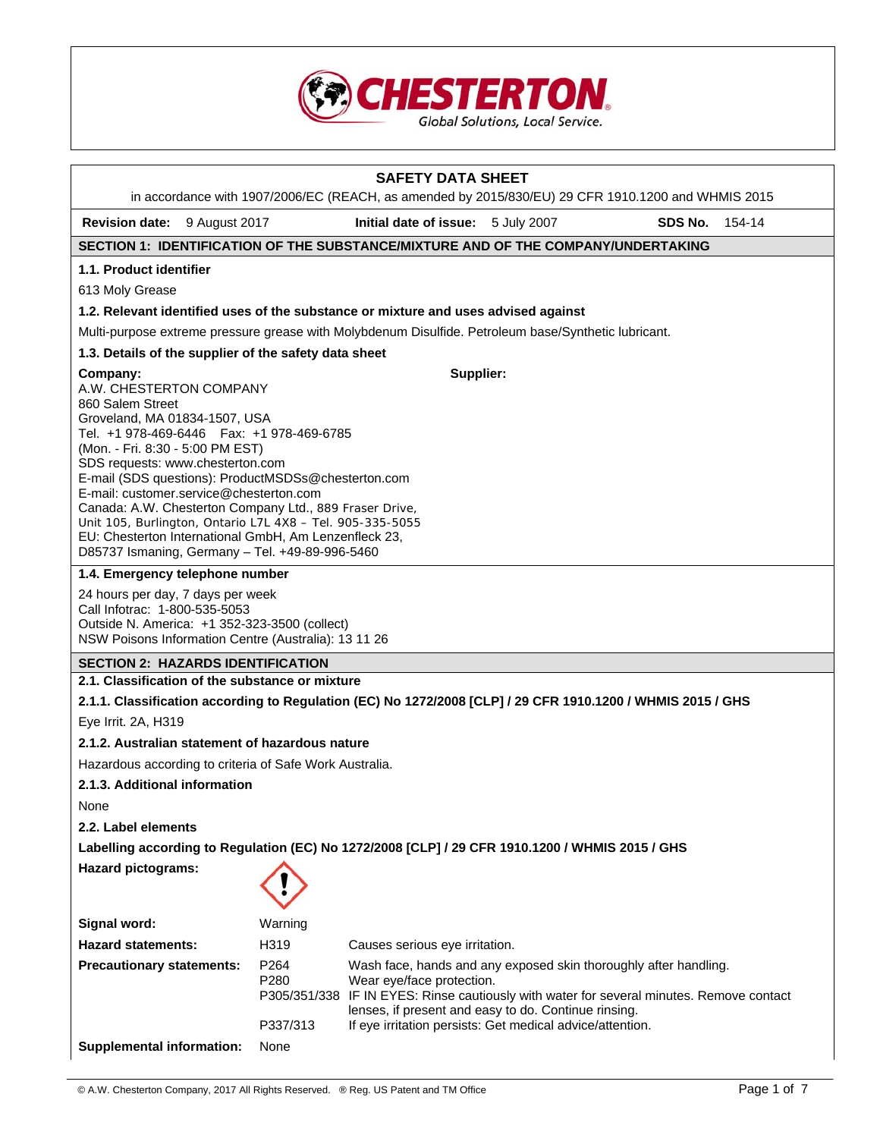

| <b>SAFETY DATA SHEET</b>                                                                                                                                                                                                                                                                                                                                                                                                                                                                                        |              |                                                                                                                                                                                                                                                   |  |         |        |  |
|-----------------------------------------------------------------------------------------------------------------------------------------------------------------------------------------------------------------------------------------------------------------------------------------------------------------------------------------------------------------------------------------------------------------------------------------------------------------------------------------------------------------|--------------|---------------------------------------------------------------------------------------------------------------------------------------------------------------------------------------------------------------------------------------------------|--|---------|--------|--|
| in accordance with 1907/2006/EC (REACH, as amended by 2015/830/EU) 29 CFR 1910.1200 and WHMIS 2015                                                                                                                                                                                                                                                                                                                                                                                                              |              |                                                                                                                                                                                                                                                   |  |         |        |  |
| Revision date: 9 August 2017                                                                                                                                                                                                                                                                                                                                                                                                                                                                                    |              | Initial date of issue: 5 July 2007                                                                                                                                                                                                                |  | SDS No. | 154-14 |  |
| SECTION 1: IDENTIFICATION OF THE SUBSTANCE/MIXTURE AND OF THE COMPANY/UNDERTAKING                                                                                                                                                                                                                                                                                                                                                                                                                               |              |                                                                                                                                                                                                                                                   |  |         |        |  |
| 1.1. Product identifier                                                                                                                                                                                                                                                                                                                                                                                                                                                                                         |              |                                                                                                                                                                                                                                                   |  |         |        |  |
| 613 Moly Grease                                                                                                                                                                                                                                                                                                                                                                                                                                                                                                 |              |                                                                                                                                                                                                                                                   |  |         |        |  |
| 1.2. Relevant identified uses of the substance or mixture and uses advised against                                                                                                                                                                                                                                                                                                                                                                                                                              |              |                                                                                                                                                                                                                                                   |  |         |        |  |
| Multi-purpose extreme pressure grease with Molybdenum Disulfide. Petroleum base/Synthetic lubricant.                                                                                                                                                                                                                                                                                                                                                                                                            |              |                                                                                                                                                                                                                                                   |  |         |        |  |
| 1.3. Details of the supplier of the safety data sheet                                                                                                                                                                                                                                                                                                                                                                                                                                                           |              |                                                                                                                                                                                                                                                   |  |         |        |  |
| Supplier:<br>Company:<br>A.W. CHESTERTON COMPANY<br>860 Salem Street<br>Groveland, MA 01834-1507, USA<br>Tel. +1 978-469-6446   Fax: +1 978-469-6785<br>(Mon. - Fri. 8:30 - 5:00 PM EST)<br>SDS requests: www.chesterton.com<br>E-mail (SDS questions): ProductMSDSs@chesterton.com<br>E-mail: customer.service@chesterton.com<br>Canada: A.W. Chesterton Company Ltd., 889 Fraser Drive,<br>Unit 105, Burlington, Ontario L7L 4X8 - Tel. 905-335-5055<br>EU: Chesterton International GmbH, Am Lenzenfleck 23, |              |                                                                                                                                                                                                                                                   |  |         |        |  |
| D85737 Ismaning, Germany - Tel. +49-89-996-5460<br>1.4. Emergency telephone number                                                                                                                                                                                                                                                                                                                                                                                                                              |              |                                                                                                                                                                                                                                                   |  |         |        |  |
| 24 hours per day, 7 days per week<br>Call Infotrac: 1-800-535-5053<br>Outside N. America: +1 352-323-3500 (collect)<br>NSW Poisons Information Centre (Australia): 13 11 26                                                                                                                                                                                                                                                                                                                                     |              |                                                                                                                                                                                                                                                   |  |         |        |  |
| <b>SECTION 2: HAZARDS IDENTIFICATION</b>                                                                                                                                                                                                                                                                                                                                                                                                                                                                        |              |                                                                                                                                                                                                                                                   |  |         |        |  |
| 2.1. Classification of the substance or mixture                                                                                                                                                                                                                                                                                                                                                                                                                                                                 |              |                                                                                                                                                                                                                                                   |  |         |        |  |
| 2.1.1. Classification according to Regulation (EC) No 1272/2008 [CLP] / 29 CFR 1910.1200 / WHMIS 2015 / GHS                                                                                                                                                                                                                                                                                                                                                                                                     |              |                                                                                                                                                                                                                                                   |  |         |        |  |
| Eye Irrit. 2A, H319                                                                                                                                                                                                                                                                                                                                                                                                                                                                                             |              |                                                                                                                                                                                                                                                   |  |         |        |  |
| 2.1.2. Australian statement of hazardous nature                                                                                                                                                                                                                                                                                                                                                                                                                                                                 |              |                                                                                                                                                                                                                                                   |  |         |        |  |
| Hazardous according to criteria of Safe Work Australia.                                                                                                                                                                                                                                                                                                                                                                                                                                                         |              |                                                                                                                                                                                                                                                   |  |         |        |  |
| 2.1.3. Additional information                                                                                                                                                                                                                                                                                                                                                                                                                                                                                   |              |                                                                                                                                                                                                                                                   |  |         |        |  |
| None                                                                                                                                                                                                                                                                                                                                                                                                                                                                                                            |              |                                                                                                                                                                                                                                                   |  |         |        |  |
| 2.2. Label elements                                                                                                                                                                                                                                                                                                                                                                                                                                                                                             |              |                                                                                                                                                                                                                                                   |  |         |        |  |
| Labelling according to Regulation (EC) No 1272/2008 [CLP] / 29 CFR 1910.1200 / WHMIS 2015 / GHS                                                                                                                                                                                                                                                                                                                                                                                                                 |              |                                                                                                                                                                                                                                                   |  |         |        |  |
| <b>Hazard pictograms:</b>                                                                                                                                                                                                                                                                                                                                                                                                                                                                                       |              |                                                                                                                                                                                                                                                   |  |         |        |  |
| Signal word:                                                                                                                                                                                                                                                                                                                                                                                                                                                                                                    | Warning      |                                                                                                                                                                                                                                                   |  |         |        |  |
| <b>Hazard statements:</b>                                                                                                                                                                                                                                                                                                                                                                                                                                                                                       | H319         | Causes serious eye irritation.                                                                                                                                                                                                                    |  |         |        |  |
| <b>Precautionary statements:</b>                                                                                                                                                                                                                                                                                                                                                                                                                                                                                | P264<br>P280 | Wash face, hands and any exposed skin thoroughly after handling.<br>Wear eye/face protection.<br>P305/351/338 IF IN EYES: Rinse cautiously with water for several minutes. Remove contact<br>lenses, if present and easy to do. Continue rinsing. |  |         |        |  |
|                                                                                                                                                                                                                                                                                                                                                                                                                                                                                                                 | P337/313     | If eye irritation persists: Get medical advice/attention.                                                                                                                                                                                         |  |         |        |  |
| <b>Supplemental information:</b>                                                                                                                                                                                                                                                                                                                                                                                                                                                                                | None         |                                                                                                                                                                                                                                                   |  |         |        |  |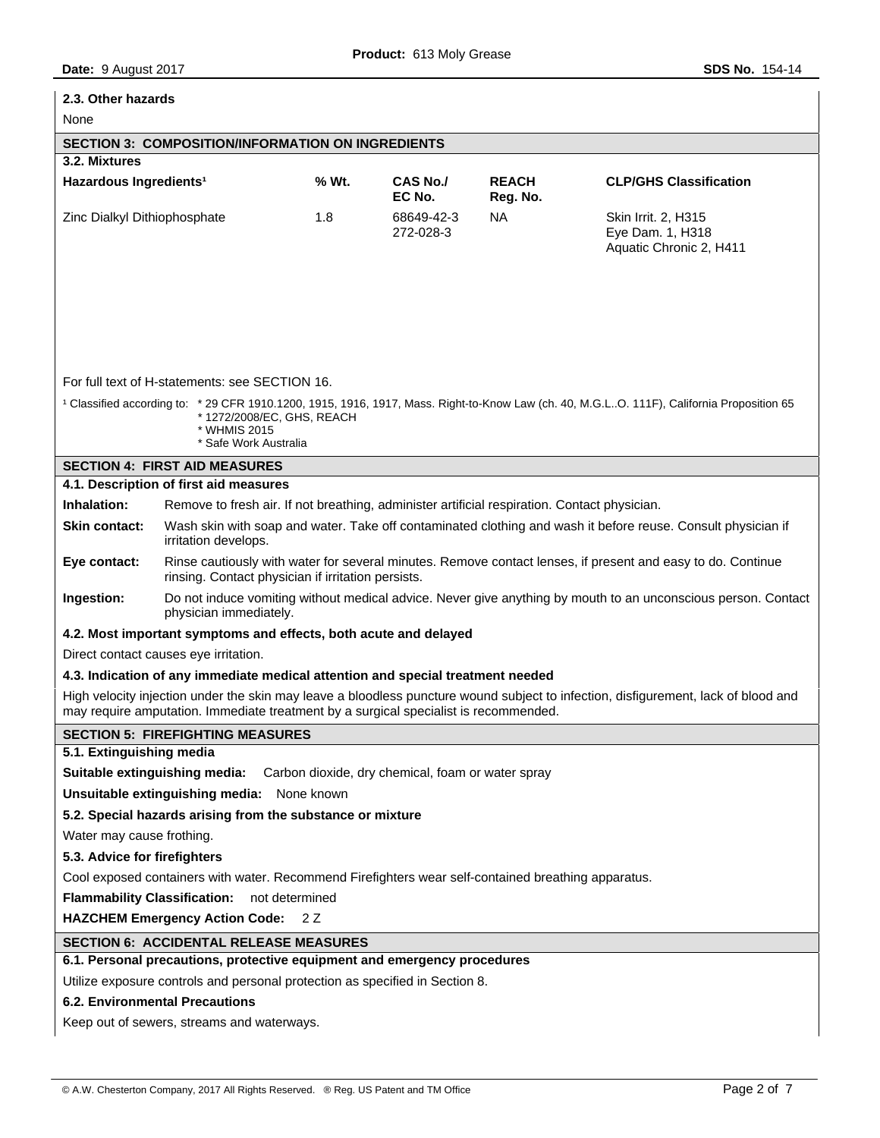# **2.3. Other hazards**  None **SECTION 3: COMPOSITION/INFORMATION ON INGREDIENTS 3.2. Mixtures**  Hazardous Ingredients<sup>1</sup> % Wt. CAS No./ **EC No. REACH Reg. No. CLP/GHS Classification**  Zinc Dialkyl Dithiophosphate 1.8 68649-42-3 272-028-3 NA Skin Irrit. 2, H315 Eye Dam. 1, H318 Aquatic Chronic 2, H411 For full text of H-statements: see SECTION 16. <sup>1</sup> Classified according to: \* 29 CFR 1910.1200, 1915, 1916, 1917, Mass. Right-to-Know Law (ch. 40, M.G.L..O. 111F), California Proposition 65 1272/2008/EC, GHS, REACH \* WHMIS 2015 \* Safe Work Australia **SECTION 4: FIRST AID MEASURES 4.1. Description of first aid measures Inhalation:** Remove to fresh air. If not breathing, administer artificial respiration. Contact physician. **Skin contact:** Wash skin with soap and water. Take off contaminated clothing and wash it before reuse. Consult physician if irritation develops. **Eye contact:** Rinse cautiously with water for several minutes. Remove contact lenses, if present and easy to do. Continue rinsing. Contact physician if irritation persists. **Ingestion:** Do not induce vomiting without medical advice. Never give anything by mouth to an unconscious person. Contact physician immediately. **4.2. Most important symptoms and effects, both acute and delayed**  Direct contact causes eye irritation. **4.3. Indication of any immediate medical attention and special treatment needed**  High velocity injection under the skin may leave a bloodless puncture wound subject to infection, disfigurement, lack of blood and may require amputation. Immediate treatment by a surgical specialist is recommended. **SECTION 5: FIREFIGHTING MEASURES 5.1. Extinguishing media Suitable extinguishing media:** Carbon dioxide, dry chemical, foam or water spray **Unsuitable extinguishing media:** None known **5.2. Special hazards arising from the substance or mixture**  Water may cause frothing. **5.3. Advice for firefighters**  Cool exposed containers with water. Recommend Firefighters wear self-contained breathing apparatus. **Flammability Classification:** not determined **HAZCHEM Emergency Action Code:** 2 Z **SECTION 6: ACCIDENTAL RELEASE MEASURES 6.1. Personal precautions, protective equipment and emergency procedures**  Utilize exposure controls and personal protection as specified in Section 8. **6.2. Environmental Precautions**  Keep out of sewers, streams and waterways.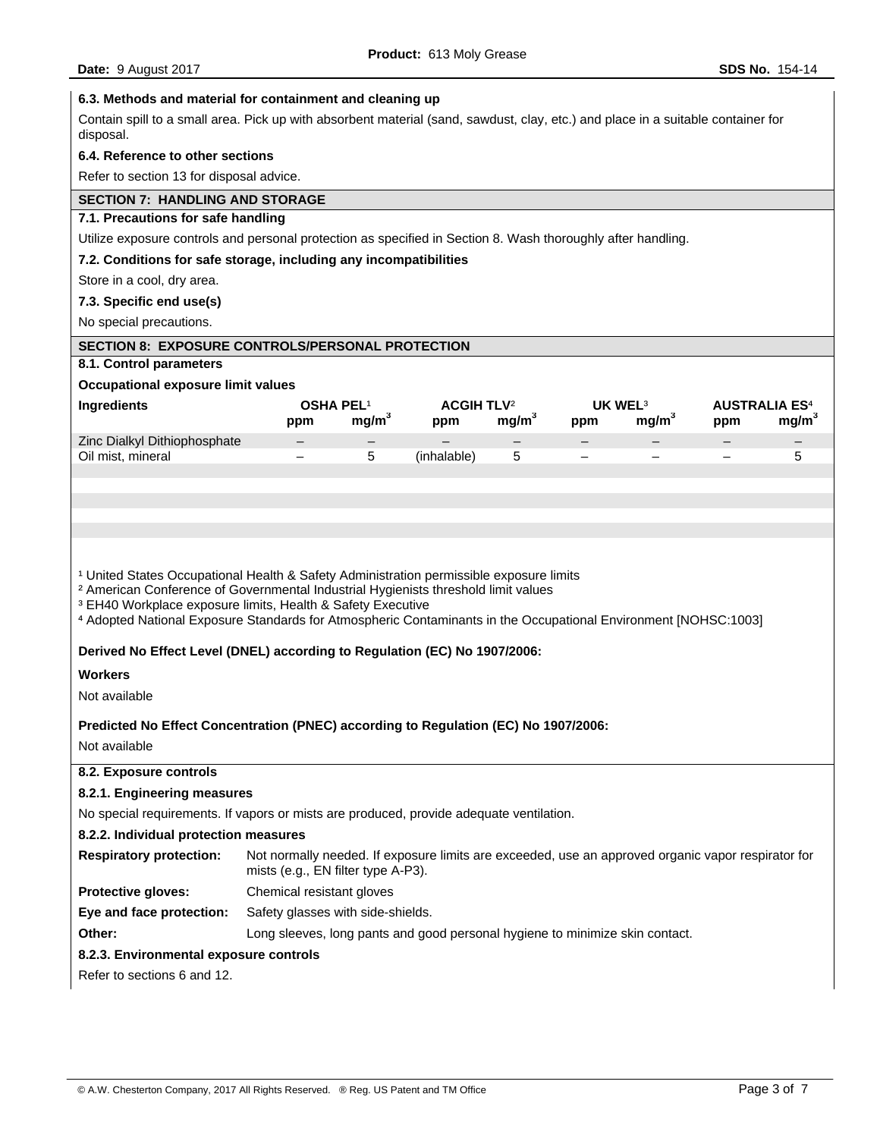## **6.3. Methods and material for containment and cleaning up**

Contain spill to a small area. Pick up with absorbent material (sand, sawdust, clay, etc.) and place in a suitable container for disposal.

## **6.4. Reference to other sections**

Refer to section 13 for disposal advice.

# **SECTION 7: HANDLING AND STORAGE**

# **7.1. Precautions for safe handling**

Utilize exposure controls and personal protection as specified in Section 8. Wash thoroughly after handling.

# **7.2. Conditions for safe storage, including any incompatibilities**

# Store in a cool, dry area.

**7.3. Specific end use(s)** 

No special precautions.

## **SECTION 8: EXPOSURE CONTROLS/PERSONAL PROTECTION**

# **8.1. Control parameters**

## **Occupational exposure limit values**

| Ingredients                  |                          | OSHA PEL <sup>1</sup> | <b>ACGIH TLV<sup>2</sup></b> |                   |                          | UK WEL $3$        |     | <b>AUSTRALIA ES<sup>4</sup></b> |
|------------------------------|--------------------------|-----------------------|------------------------------|-------------------|--------------------------|-------------------|-----|---------------------------------|
|                              | ppm                      | mq/m <sup>3</sup>     | ppm                          | ma/m <sup>3</sup> | ppm                      | ma/m <sup>3</sup> | ppm | mq/m <sup>3</sup>               |
| Zinc Dialkyl Dithiophosphate | $\overline{\phantom{m}}$ |                       | $\overline{\phantom{0}}$     |                   |                          | -                 |     |                                 |
| Oil mist, mineral            | $\overline{\phantom{m}}$ |                       | (inhalable)                  |                   | $\overline{\phantom{0}}$ | -                 | -   |                                 |
|                              |                          |                       |                              |                   |                          |                   |     |                                 |

## <sup>1</sup> United States Occupational Health & Safety Administration permissible exposure limits

² American Conference of Governmental Industrial Hygienists threshold limit values

<sup>3</sup> EH40 Workplace exposure limits, Health & Safety Executive

⁴ Adopted National Exposure Standards for Atmospheric Contaminants in the Occupational Environment [NOHSC:1003]

#### **Derived No Effect Level (DNEL) according to Regulation (EC) No 1907/2006:**

### **Workers**

Not available

## **Predicted No Effect Concentration (PNEC) according to Regulation (EC) No 1907/2006:**

Not available

# **8.2. Exposure controls 8.2.1. Engineering measures**  No special requirements. If vapors or mists are produced, provide adequate ventilation. **8.2.2. Individual protection measures Respiratory protection:** Not normally needed. If exposure limits are exceeded, use an approved organic vapor respirator for mists (e.g., EN filter type A-P3). **Protective gloves:** Chemical resistant gloves **Eye and face protection:** Safety glasses with side-shields. **Other:** Long sleeves, long pants and good personal hygiene to minimize skin contact. **8.2.3. Environmental exposure controls**  Refer to sections 6 and 12.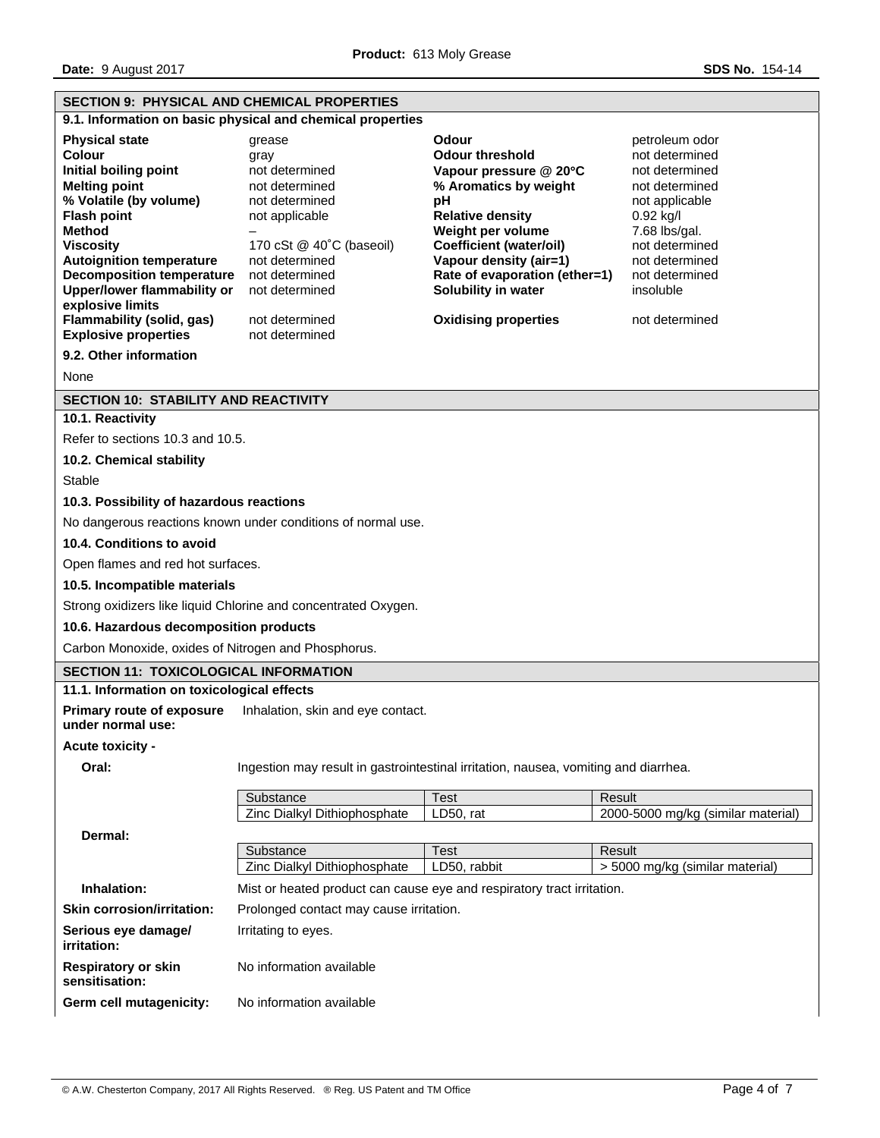| <b>SECTION 9: PHYSICAL AND CHEMICAL PROPERTIES</b>                                                                                                                                                                                                                                                                                                                 |                                                                                                                                                                                                              |                                                                                                                                                                                                                                                                                                    |                                                                                                                                                                                                           |
|--------------------------------------------------------------------------------------------------------------------------------------------------------------------------------------------------------------------------------------------------------------------------------------------------------------------------------------------------------------------|--------------------------------------------------------------------------------------------------------------------------------------------------------------------------------------------------------------|----------------------------------------------------------------------------------------------------------------------------------------------------------------------------------------------------------------------------------------------------------------------------------------------------|-----------------------------------------------------------------------------------------------------------------------------------------------------------------------------------------------------------|
|                                                                                                                                                                                                                                                                                                                                                                    | 9.1. Information on basic physical and chemical properties                                                                                                                                                   |                                                                                                                                                                                                                                                                                                    |                                                                                                                                                                                                           |
| <b>Physical state</b><br>Colour<br>Initial boiling point<br><b>Melting point</b><br>% Volatile (by volume)<br><b>Flash point</b><br>Method<br><b>Viscosity</b><br><b>Autoignition temperature</b><br><b>Decomposition temperature</b><br><b>Upper/lower flammability or</b><br>explosive limits<br><b>Flammability (solid, gas)</b><br><b>Explosive properties</b> | grease<br>gray<br>not determined<br>not determined<br>not determined<br>not applicable<br>170 cSt @ 40°C (baseoil)<br>not determined<br>not determined<br>not determined<br>not determined<br>not determined | <b>Odour</b><br><b>Odour threshold</b><br>Vapour pressure @ 20°C<br>% Aromatics by weight<br>рH<br><b>Relative density</b><br>Weight per volume<br><b>Coefficient (water/oil)</b><br>Vapour density (air=1)<br>Rate of evaporation (ether=1)<br>Solubility in water<br><b>Oxidising properties</b> | petroleum odor<br>not determined<br>not determined<br>not determined<br>not applicable<br>0.92 kg/l<br>7.68 lbs/gal.<br>not determined<br>not determined<br>not determined<br>insoluble<br>not determined |
| 9.2. Other information                                                                                                                                                                                                                                                                                                                                             |                                                                                                                                                                                                              |                                                                                                                                                                                                                                                                                                    |                                                                                                                                                                                                           |
| None                                                                                                                                                                                                                                                                                                                                                               |                                                                                                                                                                                                              |                                                                                                                                                                                                                                                                                                    |                                                                                                                                                                                                           |
| <b>SECTION 10: STABILITY AND REACTIVITY</b>                                                                                                                                                                                                                                                                                                                        |                                                                                                                                                                                                              |                                                                                                                                                                                                                                                                                                    |                                                                                                                                                                                                           |
| 10.1. Reactivity                                                                                                                                                                                                                                                                                                                                                   |                                                                                                                                                                                                              |                                                                                                                                                                                                                                                                                                    |                                                                                                                                                                                                           |
| Refer to sections 10.3 and 10.5.                                                                                                                                                                                                                                                                                                                                   |                                                                                                                                                                                                              |                                                                                                                                                                                                                                                                                                    |                                                                                                                                                                                                           |
| 10.2. Chemical stability                                                                                                                                                                                                                                                                                                                                           |                                                                                                                                                                                                              |                                                                                                                                                                                                                                                                                                    |                                                                                                                                                                                                           |
| Stable                                                                                                                                                                                                                                                                                                                                                             |                                                                                                                                                                                                              |                                                                                                                                                                                                                                                                                                    |                                                                                                                                                                                                           |
| 10.3. Possibility of hazardous reactions                                                                                                                                                                                                                                                                                                                           |                                                                                                                                                                                                              |                                                                                                                                                                                                                                                                                                    |                                                                                                                                                                                                           |
|                                                                                                                                                                                                                                                                                                                                                                    | No dangerous reactions known under conditions of normal use.                                                                                                                                                 |                                                                                                                                                                                                                                                                                                    |                                                                                                                                                                                                           |
| 10.4. Conditions to avoid                                                                                                                                                                                                                                                                                                                                          |                                                                                                                                                                                                              |                                                                                                                                                                                                                                                                                                    |                                                                                                                                                                                                           |
| Open flames and red hot surfaces.                                                                                                                                                                                                                                                                                                                                  |                                                                                                                                                                                                              |                                                                                                                                                                                                                                                                                                    |                                                                                                                                                                                                           |
| 10.5. Incompatible materials                                                                                                                                                                                                                                                                                                                                       |                                                                                                                                                                                                              |                                                                                                                                                                                                                                                                                                    |                                                                                                                                                                                                           |
|                                                                                                                                                                                                                                                                                                                                                                    | Strong oxidizers like liquid Chlorine and concentrated Oxygen.                                                                                                                                               |                                                                                                                                                                                                                                                                                                    |                                                                                                                                                                                                           |
| 10.6. Hazardous decomposition products                                                                                                                                                                                                                                                                                                                             |                                                                                                                                                                                                              |                                                                                                                                                                                                                                                                                                    |                                                                                                                                                                                                           |
| Carbon Monoxide, oxides of Nitrogen and Phosphorus.                                                                                                                                                                                                                                                                                                                |                                                                                                                                                                                                              |                                                                                                                                                                                                                                                                                                    |                                                                                                                                                                                                           |
| SECTION 11: TOXICOLOGICAL INFORMATION<br>11.1. Information on toxicological effects                                                                                                                                                                                                                                                                                |                                                                                                                                                                                                              |                                                                                                                                                                                                                                                                                                    |                                                                                                                                                                                                           |
|                                                                                                                                                                                                                                                                                                                                                                    |                                                                                                                                                                                                              |                                                                                                                                                                                                                                                                                                    |                                                                                                                                                                                                           |
| <b>Primary route of exposure</b><br>under normal use:                                                                                                                                                                                                                                                                                                              | Inhalation, skin and eye contact.                                                                                                                                                                            |                                                                                                                                                                                                                                                                                                    |                                                                                                                                                                                                           |
| Acute toxicity -                                                                                                                                                                                                                                                                                                                                                   |                                                                                                                                                                                                              |                                                                                                                                                                                                                                                                                                    |                                                                                                                                                                                                           |
| Oral:                                                                                                                                                                                                                                                                                                                                                              | Ingestion may result in gastrointestinal irritation, nausea, vomiting and diarrhea.                                                                                                                          |                                                                                                                                                                                                                                                                                                    |                                                                                                                                                                                                           |
|                                                                                                                                                                                                                                                                                                                                                                    | Substance                                                                                                                                                                                                    | <b>Test</b>                                                                                                                                                                                                                                                                                        | Result                                                                                                                                                                                                    |
|                                                                                                                                                                                                                                                                                                                                                                    | Zinc Dialkyl Dithiophosphate                                                                                                                                                                                 | LD50, rat                                                                                                                                                                                                                                                                                          | 2000-5000 mg/kg (similar material)                                                                                                                                                                        |
| Dermal:                                                                                                                                                                                                                                                                                                                                                            |                                                                                                                                                                                                              |                                                                                                                                                                                                                                                                                                    |                                                                                                                                                                                                           |
|                                                                                                                                                                                                                                                                                                                                                                    | Substance<br>Zinc Dialkyl Dithiophosphate                                                                                                                                                                    | <b>Test</b>                                                                                                                                                                                                                                                                                        | Result<br>> 5000 mg/kg (similar material)                                                                                                                                                                 |
|                                                                                                                                                                                                                                                                                                                                                                    |                                                                                                                                                                                                              | LD50, rabbit                                                                                                                                                                                                                                                                                       |                                                                                                                                                                                                           |
| Inhalation:                                                                                                                                                                                                                                                                                                                                                        | Mist or heated product can cause eye and respiratory tract irritation.                                                                                                                                       |                                                                                                                                                                                                                                                                                                    |                                                                                                                                                                                                           |
| <b>Skin corrosion/irritation:</b>                                                                                                                                                                                                                                                                                                                                  | Prolonged contact may cause irritation.                                                                                                                                                                      |                                                                                                                                                                                                                                                                                                    |                                                                                                                                                                                                           |
| Serious eye damage/<br>irritation:                                                                                                                                                                                                                                                                                                                                 | Irritating to eyes.                                                                                                                                                                                          |                                                                                                                                                                                                                                                                                                    |                                                                                                                                                                                                           |
| <b>Respiratory or skin</b><br>sensitisation:                                                                                                                                                                                                                                                                                                                       | No information available                                                                                                                                                                                     |                                                                                                                                                                                                                                                                                                    |                                                                                                                                                                                                           |
| Germ cell mutagenicity:                                                                                                                                                                                                                                                                                                                                            | No information available                                                                                                                                                                                     |                                                                                                                                                                                                                                                                                                    |                                                                                                                                                                                                           |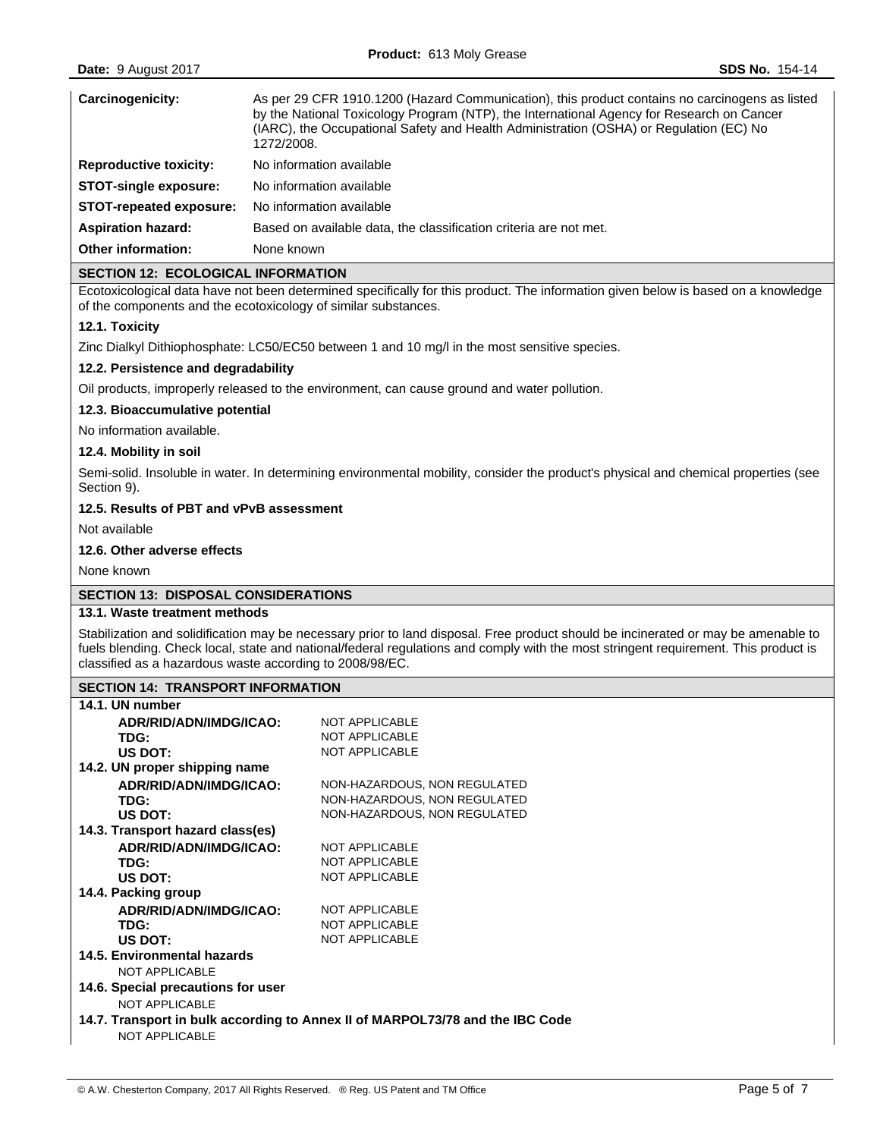| Carcinogenicity:              | As per 29 CFR 1910.1200 (Hazard Communication), this product contains no carcinogens as listed<br>by the National Toxicology Program (NTP), the International Agency for Research on Cancer<br>(IARC), the Occupational Safety and Health Administration (OSHA) or Regulation (EC) No<br>1272/2008. |  |
|-------------------------------|-----------------------------------------------------------------------------------------------------------------------------------------------------------------------------------------------------------------------------------------------------------------------------------------------------|--|
| <b>Reproductive toxicity:</b> | No information available                                                                                                                                                                                                                                                                            |  |
| <b>STOT-single exposure:</b>  | No information available                                                                                                                                                                                                                                                                            |  |
| STOT-repeated exposure:       | No information available                                                                                                                                                                                                                                                                            |  |
| <b>Aspiration hazard:</b>     | Based on available data, the classification criteria are not met.                                                                                                                                                                                                                                   |  |
| <b>Other information:</b>     | None known                                                                                                                                                                                                                                                                                          |  |

## **SECTION 12: ECOLOGICAL INFORMATION**

Ecotoxicological data have not been determined specifically for this product. The information given below is based on a knowledge of the components and the ecotoxicology of similar substances.

## **12.1. Toxicity**

Zinc Dialkyl Dithiophosphate: LC50/EC50 between 1 and 10 mg/l in the most sensitive species.

# **12.2. Persistence and degradability**

Oil products, improperly released to the environment, can cause ground and water pollution.

### **12.3. Bioaccumulative potential**

No information available.

### **12.4. Mobility in soil**

Semi-solid. Insoluble in water. In determining environmental mobility, consider the product's physical and chemical properties (see Section 9).

### **12.5. Results of PBT and vPvB assessment**

Not available

### **12.6. Other adverse effects**

None known

## **SECTION 13: DISPOSAL CONSIDERATIONS**

## **13.1. Waste treatment methods**

Stabilization and solidification may be necessary prior to land disposal. Free product should be incinerated or may be amenable to fuels blending. Check local, state and national/federal regulations and comply with the most stringent requirement. This product is classified as a hazardous waste according to 2008/98/EC.

## **SECTION 14: TRANSPORT INFORMATION**

| 14.1. UN number                    |                                                                               |
|------------------------------------|-------------------------------------------------------------------------------|
| ADR/RID/ADN/IMDG/ICAO:             | NOT APPI ICARI F                                                              |
| TDG:                               | <b>NOT APPLICABLE</b>                                                         |
| US DOT:                            | <b>NOT APPLICABLE</b>                                                         |
| 14.2. UN proper shipping name      |                                                                               |
| ADR/RID/ADN/IMDG/ICAO:             | NON-HAZARDOUS, NON REGULATED                                                  |
| TDG:                               | NON-HAZARDOUS, NON REGULATED                                                  |
| US DOT:                            | NON-HAZARDOUS, NON REGULATED                                                  |
| 14.3. Transport hazard class(es)   |                                                                               |
| ADR/RID/ADN/IMDG/ICAO:             | <b>NOT APPLICABLE</b>                                                         |
| TDG:                               | <b>NOT APPLICABLE</b>                                                         |
| US DOT:                            | <b>NOT APPLICABLE</b>                                                         |
| 14.4. Packing group                |                                                                               |
| ADR/RID/ADN/IMDG/ICAO:             | <b>NOT APPLICABLE</b>                                                         |
| TDG:                               | <b>NOT APPLICABLE</b>                                                         |
| US DOT:                            | <b>NOT APPLICABLE</b>                                                         |
| 14.5. Environmental hazards        |                                                                               |
| <b>NOT APPLICABLE</b>              |                                                                               |
| 14.6. Special precautions for user |                                                                               |
| NOT APPLICABLE                     |                                                                               |
|                                    | 14.7. Transport in bulk according to Annex II of MARPOL73/78 and the IBC Code |
| <b>NOT APPLICABLE</b>              |                                                                               |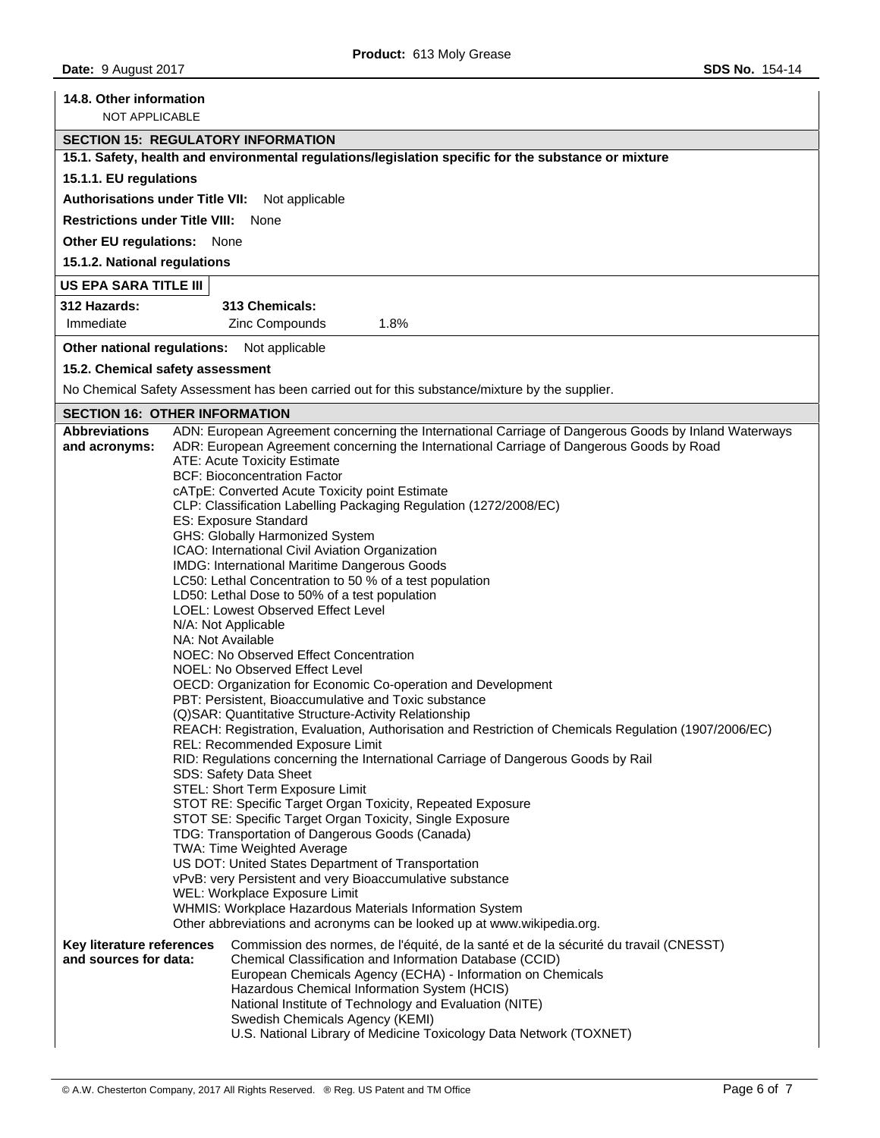| 14.8. Other information<br><b>NOT APPLICABLE</b>                                                         |                                                                                                                                                                                                                                                                 |  |  |  |  |
|----------------------------------------------------------------------------------------------------------|-----------------------------------------------------------------------------------------------------------------------------------------------------------------------------------------------------------------------------------------------------------------|--|--|--|--|
| <b>SECTION 15: REGULATORY INFORMATION</b>                                                                |                                                                                                                                                                                                                                                                 |  |  |  |  |
|                                                                                                          | 15.1. Safety, health and environmental regulations/legislation specific for the substance or mixture                                                                                                                                                            |  |  |  |  |
| 15.1.1. EU regulations                                                                                   |                                                                                                                                                                                                                                                                 |  |  |  |  |
| <b>Authorisations under Title VII:</b>                                                                   | Not applicable                                                                                                                                                                                                                                                  |  |  |  |  |
| <b>Restrictions under Title VIII:</b>                                                                    | None                                                                                                                                                                                                                                                            |  |  |  |  |
| Other EU regulations: None                                                                               |                                                                                                                                                                                                                                                                 |  |  |  |  |
| 15.1.2. National regulations                                                                             |                                                                                                                                                                                                                                                                 |  |  |  |  |
| US EPA SARA TITLE III                                                                                    |                                                                                                                                                                                                                                                                 |  |  |  |  |
| 312 Hazards:                                                                                             | 313 Chemicals:                                                                                                                                                                                                                                                  |  |  |  |  |
| Immediate                                                                                                | Zinc Compounds<br>1.8%                                                                                                                                                                                                                                          |  |  |  |  |
|                                                                                                          | Other national regulations: Not applicable                                                                                                                                                                                                                      |  |  |  |  |
|                                                                                                          | 15.2. Chemical safety assessment                                                                                                                                                                                                                                |  |  |  |  |
|                                                                                                          | No Chemical Safety Assessment has been carried out for this substance/mixture by the supplier.                                                                                                                                                                  |  |  |  |  |
|                                                                                                          | <b>SECTION 16: OTHER INFORMATION</b>                                                                                                                                                                                                                            |  |  |  |  |
| <b>Abbreviations</b><br>and acronyms:                                                                    | ADN: European Agreement concerning the International Carriage of Dangerous Goods by Inland Waterways<br>ADR: European Agreement concerning the International Carriage of Dangerous Goods by Road<br>ATE: Acute Toxicity Estimate                                |  |  |  |  |
|                                                                                                          | <b>BCF: Bioconcentration Factor</b>                                                                                                                                                                                                                             |  |  |  |  |
|                                                                                                          | cATpE: Converted Acute Toxicity point Estimate                                                                                                                                                                                                                  |  |  |  |  |
|                                                                                                          | CLP: Classification Labelling Packaging Regulation (1272/2008/EC)                                                                                                                                                                                               |  |  |  |  |
|                                                                                                          | ES: Exposure Standard<br>GHS: Globally Harmonized System                                                                                                                                                                                                        |  |  |  |  |
|                                                                                                          | ICAO: International Civil Aviation Organization                                                                                                                                                                                                                 |  |  |  |  |
|                                                                                                          | IMDG: International Maritime Dangerous Goods                                                                                                                                                                                                                    |  |  |  |  |
| LC50: Lethal Concentration to 50 % of a test population<br>LD50: Lethal Dose to 50% of a test population |                                                                                                                                                                                                                                                                 |  |  |  |  |
|                                                                                                          | LOEL: Lowest Observed Effect Level                                                                                                                                                                                                                              |  |  |  |  |
|                                                                                                          | N/A: Not Applicable                                                                                                                                                                                                                                             |  |  |  |  |
|                                                                                                          | NA: Not Available<br>NOEC: No Observed Effect Concentration                                                                                                                                                                                                     |  |  |  |  |
|                                                                                                          | NOEL: No Observed Effect Level                                                                                                                                                                                                                                  |  |  |  |  |
|                                                                                                          | OECD: Organization for Economic Co-operation and Development                                                                                                                                                                                                    |  |  |  |  |
|                                                                                                          | PBT: Persistent, Bioaccumulative and Toxic substance                                                                                                                                                                                                            |  |  |  |  |
|                                                                                                          | (Q) SAR: Quantitative Structure-Activity Relationship<br>REACH: Registration, Evaluation, Authorisation and Restriction of Chemicals Regulation (1907/2006/EC)                                                                                                  |  |  |  |  |
|                                                                                                          | REL: Recommended Exposure Limit                                                                                                                                                                                                                                 |  |  |  |  |
|                                                                                                          | RID: Regulations concerning the International Carriage of Dangerous Goods by Rail<br>SDS: Safety Data Sheet                                                                                                                                                     |  |  |  |  |
|                                                                                                          | STEL: Short Term Exposure Limit                                                                                                                                                                                                                                 |  |  |  |  |
|                                                                                                          | STOT RE: Specific Target Organ Toxicity, Repeated Exposure                                                                                                                                                                                                      |  |  |  |  |
|                                                                                                          | STOT SE: Specific Target Organ Toxicity, Single Exposure<br>TDG: Transportation of Dangerous Goods (Canada)                                                                                                                                                     |  |  |  |  |
|                                                                                                          | TWA: Time Weighted Average                                                                                                                                                                                                                                      |  |  |  |  |
|                                                                                                          | US DOT: United States Department of Transportation                                                                                                                                                                                                              |  |  |  |  |
|                                                                                                          | vPvB: very Persistent and very Bioaccumulative substance<br>WEL: Workplace Exposure Limit                                                                                                                                                                       |  |  |  |  |
|                                                                                                          | WHMIS: Workplace Hazardous Materials Information System                                                                                                                                                                                                         |  |  |  |  |
| Other abbreviations and acronyms can be looked up at www.wikipedia.org.                                  |                                                                                                                                                                                                                                                                 |  |  |  |  |
| Key literature references<br>and sources for data:                                                       | Commission des normes, de l'équité, de la santé et de la sécurité du travail (CNESST)<br>Chemical Classification and Information Database (CCID)<br>European Chemicals Agency (ECHA) - Information on Chemicals<br>Hazardous Chemical Information System (HCIS) |  |  |  |  |
|                                                                                                          | National Institute of Technology and Evaluation (NITE)                                                                                                                                                                                                          |  |  |  |  |
|                                                                                                          | Swedish Chemicals Agency (KEMI)                                                                                                                                                                                                                                 |  |  |  |  |
|                                                                                                          | U.S. National Library of Medicine Toxicology Data Network (TOXNET)                                                                                                                                                                                              |  |  |  |  |